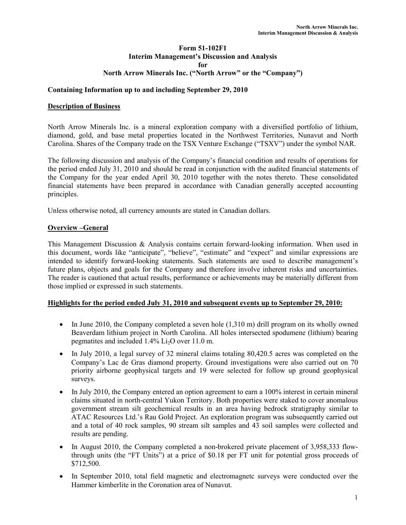## Form 51-102F1 Interim Management's Discussion and Analysis for North Arrow Minerals Inc. ("North Arrow" or the "Company")

## Containing Information up to and including September 29, 2010

### Description of Business

North Arrow Minerals Inc. is a mineral exploration company with a diversified portfolio of lithium, diamond, gold, and base metal properties located in the Northwest Territories, Nunavut and North Carolina. Shares of the Company trade on the TSX Venture Exchange ("TSXV") under the symbol NAR.

The following discussion and analysis of the Company's financial condition and results of operations for the period ended July 31, 2010 and should be read in conjunction with the audited financial statements of the Company for the year ended April 30, 2010 together with the notes thereto. These consolidated financial statements have been prepared in accordance with Canadian generally accepted accounting principles.

Unless otherwise noted, all currency amounts are stated in Canadian dollars.

### Overview –General

This Management Discussion & Analysis contains certain forward-looking information. When used in this document, words like "anticipate", "believe", "estimate" and "expect" and similar expressions are intended to identify forward-looking statements. Such statements are used to describe management's future plans, objects and goals for the Company and therefore involve inherent risks and uncertainties. The reader is cautioned that actual results, performance or achievements may be materially different from those implied or expressed in such statements.

#### Highlights for the period ended July 31, 2010 and subsequent events up to September 29, 2010:

- In June 2010, the Company completed a seven hole (1,310 m) drill program on its wholly owned Beaverdam lithium project in North Carolina. All holes intersected spodumene (lithium) bearing pegmatites and included  $1.4\%$  Li<sub>2</sub>O over 11.0 m.
- In July 2010, a legal survey of 32 mineral claims totaling 80,420.5 acres was completed on the Company's Lac de Gras diamond property. Ground investigations were also carried out on 70 priority airborne geophysical targets and 19 were selected for follow up ground geophysical surveys.
- In July 2010, the Company entered an option agreement to earn a 100% interest in certain mineral claims situated in north-central Yukon Territory. Both properties were staked to cover anomalous government stream silt geochemical results in an area having bedrock stratigraphy similar to ATAC Resources Ltd.'s Rau Gold Project. An exploration program was subsequently carried out and a total of 40 rock samples, 90 stream silt samples and 43 soil samples were collected and results are pending.
- In August 2010, the Company completed a non-brokered private placement of 3,958,333 flowthrough units (the "FT Units") at a price of \$0.18 per FT unit for potential gross proceeds of \$712,500.
- In September 2010, total field magnetic and electromagnetc surveys were conducted over the Hammer kimberlite in the Coronation area of Nunavut.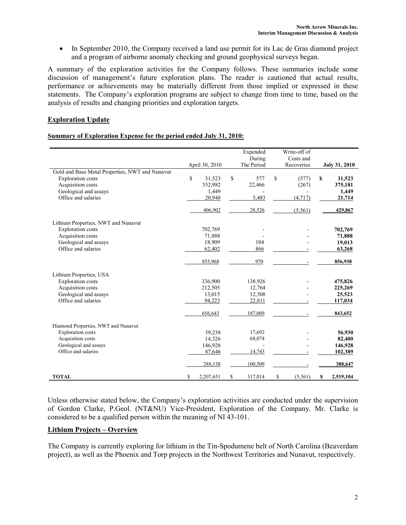• In September 2010, the Company received a land use permit for its Lac de Gras diamond project and a program of airborne anomaly checking and ground geophysical surveys began.

A summary of the exploration activities for the Company follows. These summaries include some discussion of management's future exploration plans. The reader is cautioned that actual results, performance or achievements may be materially different from those implied or expressed in these statements. The Company's exploration programs are subject to change from time to time, based on the analysis of results and changing priorities and exploration targets.

# Exploration Update

#### Summary of Exploration Expense for the period ended July 31, 2010:

|                                                 | April 30, 2010  |             | Expended<br>During<br>The Period | Write-off of<br>Costs and<br>Recoveries | <b>July 31, 2010</b> |
|-------------------------------------------------|-----------------|-------------|----------------------------------|-----------------------------------------|----------------------|
| Gold and Base Metal Properties, NWT and Nunavut |                 |             |                                  |                                         |                      |
| <b>Exploration</b> costs                        | \$<br>31,523    | $\mathbf S$ | 577                              | \$<br>(577)                             | \$<br>31,523         |
| Acquisition costs                               | 352,982         |             | 22,466                           | (267)                                   | 375,181              |
| Geological and assays                           | 1,449           |             |                                  |                                         | 1,449                |
| Office and salaries                             | 20,948          |             | 5,483                            | (4, 717)                                | 21,714               |
|                                                 | 406,902         |             | 28,526                           | (5, 561)                                | 429,867              |
| Lithium Properties, NWT and Nunavut             |                 |             |                                  |                                         |                      |
| <b>Exploration</b> costs                        | 702,769         |             |                                  |                                         | 702,769              |
| Acquisition costs                               | 71,888          |             |                                  |                                         | 71,888               |
| Geological and assays                           | 18,909          |             | 104                              |                                         | 19,013               |
| Office and salaries                             | 62,402          |             | 866                              |                                         | 63,268               |
|                                                 | 855,968         |             | 970                              |                                         | 856,938              |
| Lithium Properties, USA                         |                 |             |                                  |                                         |                      |
| <b>Exploration</b> costs                        | 336,900         |             | 138,926                          |                                         | 475,826              |
| Acquisition costs                               | 212,505         |             | 12,764                           |                                         | 225,269              |
| Geological and assays                           | 13,015          |             | 12,508                           |                                         | 25,523               |
| Office and salaries                             | 94,223          |             | 22,811                           |                                         | 117,034              |
|                                                 | 656,643         |             | 187,009                          |                                         | 843,652              |
| Diamond Properties, NWT and Nunavut             |                 |             |                                  |                                         |                      |
| <b>Exploration</b> costs                        | 39,238          |             | 17,692                           |                                         | 56,930               |
| Acquisition costs                               | 14,326          |             | 68,074                           |                                         | 82,400               |
| Geological and assays                           | 146,928         |             |                                  |                                         | 146,928              |
| Office and salaries                             | 87,646          |             | 14,743                           |                                         | 102,389              |
|                                                 | 288,138         |             | 100,509                          |                                         | 388,647              |
| <b>TOTAL</b>                                    | \$<br>2,207,651 | \$          | 317,014                          | \$<br>(5, 561)                          | \$<br>2,519,104      |

Unless otherwise stated below, the Company's exploration activities are conducted under the supervision of Gordon Clarke, P.Geol. (NT&NU) Vice-President, Exploration of the Company. Mr. Clarke is considered to be a qualified person within the meaning of NI 43-101.

### Lithium Projects – Overview

The Company is currently exploring for lithium in the Tin-Spodumene belt of North Carolina (Beaverdam project), as well as the Phoenix and Torp projects in the Northwest Territories and Nunavut, respectively.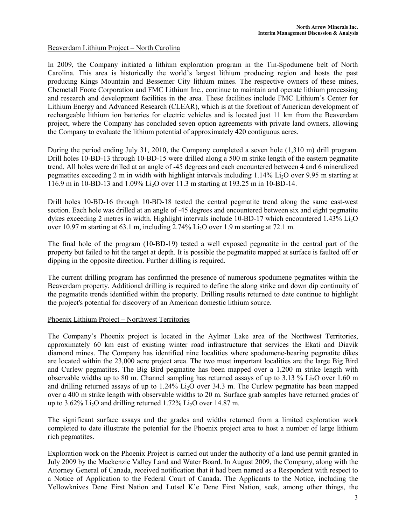## Beaverdam Lithium Project – North Carolina

In 2009, the Company initiated a lithium exploration program in the Tin-Spodumene belt of North Carolina. This area is historically the world's largest lithium producing region and hosts the past producing Kings Mountain and Bessemer City lithium mines. The respective owners of these mines, Chemetall Foote Corporation and FMC Lithium Inc., continue to maintain and operate lithium processing and research and development facilities in the area. These facilities include FMC Lithium's Center for Lithium Energy and Advanced Research (CLEAR), which is at the forefront of American development of rechargeable lithium ion batteries for electric vehicles and is located just 11 km from the Beaverdam project, where the Company has concluded seven option agreements with private land owners, allowing the Company to evaluate the lithium potential of approximately 420 contiguous acres.

During the period ending July 31, 2010, the Company completed a seven hole (1,310 m) drill program. Drill holes 10-BD-13 through 10-BD-15 were drilled along a 500 m strike length of the eastern pegmatite trend. All holes were drilled at an angle of -45 degrees and each encountered between 4 and 6 mineralized pegmatites exceeding 2 m in width with highlight intervals including 1.14% Li2O over 9.95 m starting at  $116.9$  m in 10-BD-13 and 1.09% Li<sub>2</sub>O over 11.3 m starting at 193.25 m in 10-BD-14.

Drill holes 10-BD-16 through 10-BD-18 tested the central pegmatite trend along the same east-west section. Each hole was drilled at an angle of -45 degrees and encountered between six and eight pegmatite dykes exceeding 2 metres in width. Highlight intervals include 10-BD-17 which encountered 1.43% Li<sub>2</sub>O over 10.97 m starting at 63.1 m, including 2.74% Li2O over 1.9 m starting at 72.1 m.

The final hole of the program (10-BD-19) tested a well exposed pegmatite in the central part of the property but failed to hit the target at depth. It is possible the pegmatite mapped at surface is faulted off or dipping in the opposite direction. Further drilling is required.

The current drilling program has confirmed the presence of numerous spodumene pegmatites within the Beaverdam property. Additional drilling is required to define the along strike and down dip continuity of the pegmatite trends identified within the property. Drilling results returned to date continue to highlight the project's potential for discovery of an American domestic lithium source.

### Phoenix Lithium Project – Northwest Territories

The Company's Phoenix project is located in the Aylmer Lake area of the Northwest Territories, approximately 60 km east of existing winter road infrastructure that services the Ekati and Diavik diamond mines. The Company has identified nine localities where spodumene-bearing pegmatite dikes are located within the 23,000 acre project area. The two most important localities are the large Big Bird and Curlew pegmatites. The Big Bird pegmatite has been mapped over a 1,200 m strike length with observable widths up to 80 m. Channel sampling has returned assays of up to 3.13 % Li<sub>2</sub>O over 1.60 m and drilling returned assays of up to  $1.24\%$  Li<sub>2</sub>O over 34.3 m. The Curlew pegmatite has been mapped over a 400 m strike length with observable widths to 20 m. Surface grab samples have returned grades of up to 3.62% Li<sub>2</sub>O and drilling returned 1.72% Li<sub>2</sub>O over 14.87 m.

The significant surface assays and the grades and widths returned from a limited exploration work completed to date illustrate the potential for the Phoenix project area to host a number of large lithium rich pegmatites.

Exploration work on the Phoenix Project is carried out under the authority of a land use permit granted in July 2009 by the Mackenzie Valley Land and Water Board. In August 2009, the Company, along with the Attorney General of Canada, received notification that it had been named as a Respondent with respect to a Notice of Application to the Federal Court of Canada. The Applicants to the Notice, including the Yellowknives Dene First Nation and Lutsel K'e Dene First Nation, seek, among other things, the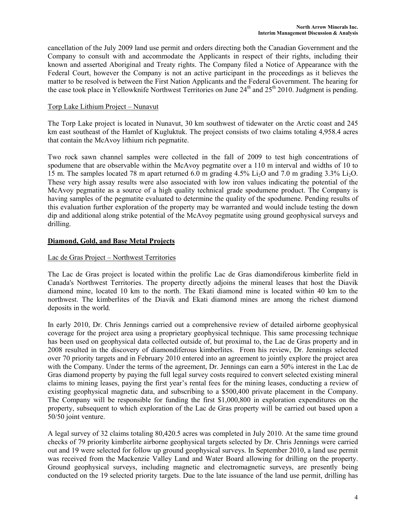cancellation of the July 2009 land use permit and orders directing both the Canadian Government and the Company to consult with and accommodate the Applicants in respect of their rights, including their known and asserted Aboriginal and Treaty rights. The Company filed a Notice of Appearance with the Federal Court, however the Company is not an active participant in the proceedings as it believes the matter to be resolved is between the First Nation Applicants and the Federal Government. The hearing for the case took place in Yellowknife Northwest Territories on June  $24<sup>th</sup>$  and  $25<sup>th</sup>$  2010. Judgment is pending.

## Torp Lake Lithium Project – Nunavut

The Torp Lake project is located in Nunavut, 30 km southwest of tidewater on the Arctic coast and 245 km east southeast of the Hamlet of Kugluktuk. The project consists of two claims totaling 4,958.4 acres that contain the McAvoy lithium rich pegmatite.

Two rock sawn channel samples were collected in the fall of 2009 to test high concentrations of spodumene that are observable within the McAvoy pegmatite over a 110 m interval and widths of 10 to 15 m. The samples located 78 m apart returned 6.0 m grading  $4.5\%$  Li<sub>2</sub>O and 7.0 m grading  $3.3\%$  L<sub>i2</sub>O. These very high assay results were also associated with low iron values indicating the potential of the McAvoy pegmatite as a source of a high quality technical grade spodumene product. The Company is having samples of the pegmatite evaluated to determine the quality of the spodumene. Pending results of this evaluation further exploration of the property may be warranted and would include testing the down dip and additional along strike potential of the McAvoy pegmatite using ground geophysical surveys and drilling.

# Diamond, Gold, and Base Metal Projects

## Lac de Gras Project – Northwest Territories

The Lac de Gras project is located within the prolific Lac de Gras diamondiferous kimberlite field in Canada's Northwest Territories. The property directly adjoins the mineral leases that host the Diavik diamond mine, located 10 km to the north. The Ekati diamond mine is located within 40 km to the northwest. The kimberlites of the Diavik and Ekati diamond mines are among the richest diamond deposits in the world.

In early 2010, Dr. Chris Jennings carried out a comprehensive review of detailed airborne geophysical coverage for the project area using a proprietary geophysical technique. This same processing technique has been used on geophysical data collected outside of, but proximal to, the Lac de Gras property and in 2008 resulted in the discovery of diamondiferous kimberlites. From his review, Dr. Jennings selected over 70 priority targets and in February 2010 entered into an agreement to jointly explore the project area with the Company. Under the terms of the agreement, Dr. Jennings can earn a 50% interest in the Lac de Gras diamond property by paying the full legal survey costs required to convert selected existing mineral claims to mining leases, paying the first year's rental fees for the mining leases, conducting a review of existing geophysical magnetic data, and subscribing to a \$500,400 private placement in the Company. The Company will be responsible for funding the first \$1,000,800 in exploration expenditures on the property, subsequent to which exploration of the Lac de Gras property will be carried out based upon a 50/50 joint venture.

A legal survey of 32 claims totaling 80,420.5 acres was completed in July 2010. At the same time ground checks of 79 priority kimberlite airborne geophysical targets selected by Dr. Chris Jennings were carried out and 19 were selected for follow up ground geophysical surveys. In September 2010, a land use permit was received from the Mackenzie Valley Land and Water Board allowing for drilling on the property. Ground geophysical surveys, including magnetic and electromagnetic surveys, are presently being conducted on the 19 selected priority targets. Due to the late issuance of the land use permit, drilling has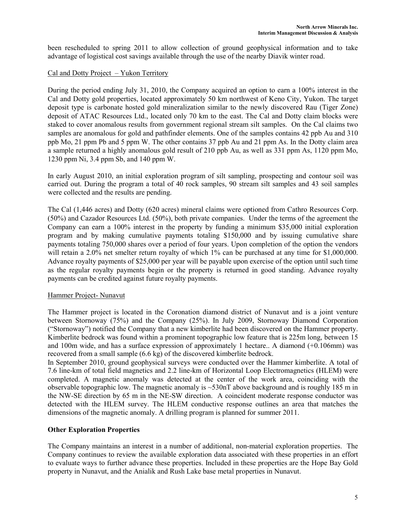been rescheduled to spring 2011 to allow collection of ground geophysical information and to take advantage of logistical cost savings available through the use of the nearby Diavik winter road.

## Cal and Dotty Project – Yukon Territory

During the period ending July 31, 2010, the Company acquired an option to earn a 100% interest in the Cal and Dotty gold properties, located approximately 50 km northwest of Keno City, Yukon. The target deposit type is carbonate hosted gold mineralization similar to the newly discovered Rau (Tiger Zone) deposit of ATAC Resources Ltd., located only 70 km to the east. The Cal and Dotty claim blocks were staked to cover anomalous results from government regional stream silt samples. On the Cal claims two samples are anomalous for gold and pathfinder elements. One of the samples contains 42 ppb Au and 310 ppb Mo, 21 ppm Pb and 5 ppm W. The other contains 37 ppb Au and 21 ppm As. In the Dotty claim area a sample returned a highly anomalous gold result of 210 ppb Au, as well as 331 ppm As, 1120 ppm Mo, 1230 ppm Ni, 3.4 ppm Sb, and 140 ppm W.

In early August 2010, an initial exploration program of silt sampling, prospecting and contour soil was carried out. During the program a total of 40 rock samples, 90 stream silt samples and 43 soil samples were collected and the results are pending.

The Cal (1,446 acres) and Dotty (620 acres) mineral claims were optioned from Cathro Resources Corp. (50%) and Cazador Resources Ltd. (50%), both private companies. Under the terms of the agreement the Company can earn a 100% interest in the property by funding a minimum \$35,000 initial exploration program and by making cumulative payments totaling \$150,000 and by issuing cumulative share payments totaling 750,000 shares over a period of four years. Upon completion of the option the vendors will retain a 2.0% net smelter return royalty of which 1% can be purchased at any time for \$1,000,000. Advance royalty payments of \$25,000 per year will be payable upon exercise of the option until such time as the regular royalty payments begin or the property is returned in good standing. Advance royalty payments can be credited against future royalty payments.

### Hammer Project- Nunavut

The Hammer project is located in the Coronation diamond district of Nunavut and is a joint venture between Stornoway (75%) and the Company (25%). In July 2009, Stornoway Diamond Corporation ("Stornoway") notified the Company that a new kimberlite had been discovered on the Hammer property. Kimberlite bedrock was found within a prominent topographic low feature that is 225m long, between 15 and 100m wide, and has a surface expression of approximately 1 hectare.. A diamond (+0.106mm) was recovered from a small sample (6.6 kg) of the discovered kimberlite bedrock.

In September 2010, ground geophysical surveys were conducted over the Hammer kimberlite. A total of 7.6 line-km of total field magnetics and 2.2 line-km of Horizontal Loop Electromagnetics (HLEM) were completed. A magnetic anomaly was detected at the center of the work area, coinciding with the observable topographic low. The magnetic anomaly is  $\sim$ 530nT above background and is roughly 185 m in the NW-SE direction by 65 m in the NE-SW direction. A coincident moderate response conductor was detected with the HLEM survey. The HLEM conductive response outlines an area that matches the dimensions of the magnetic anomaly. A drilling program is planned for summer 2011.

# Other Exploration Properties

The Company maintains an interest in a number of additional, non-material exploration properties. The Company continues to review the available exploration data associated with these properties in an effort to evaluate ways to further advance these properties. Included in these properties are the Hope Bay Gold property in Nunavut, and the Anialik and Rush Lake base metal properties in Nunavut.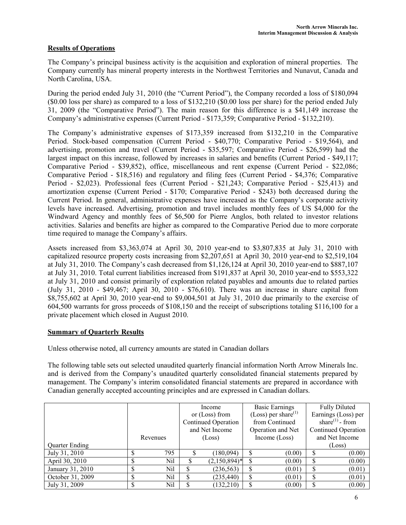# Results of Operations

The Company's principal business activity is the acquisition and exploration of mineral properties. The Company currently has mineral property interests in the Northwest Territories and Nunavut, Canada and North Carolina, USA.

During the period ended July 31, 2010 (the "Current Period"), the Company recorded a loss of \$180,094 (\$0.00 loss per share) as compared to a loss of \$132,210 (\$0.00 loss per share) for the period ended July 31, 2009 (the "Comparative Period"). The main reason for this difference is a \$41,149 increase the Company's administrative expenses (Current Period - \$173,359; Comparative Period - \$132,210).

The Company's administrative expenses of \$173,359 increased from \$132,210 in the Comparative Period. Stock-based compensation (Current Period - \$40,770; Comparative Period - \$19,564), and advertising, promotion and travel (Current Period - \$35,597; Comparative Period - \$26,599) had the largest impact on this increase, followed by increases in salaries and benefits (Current Period - \$49,117; Comparative Period - \$39,852), office, miscellaneous and rent expense (Current Period - \$22,086; Comparative Period - \$18,516) and regulatory and filing fees (Current Period - \$4,376; Comparative Period - \$2,023). Professional fees (Current Period - \$21,243; Comparative Period - \$25,413) and amortization expense (Current Period - \$170; Comparative Period - \$243) both decreased during the Current Period. In general, administrative expenses have increased as the Company's corporate activity levels have increased. Advertising, promotion and travel includes monthly fees of US \$4,000 for the Windward Agency and monthly fees of \$6,500 for Pierre Anglos, both related to investor relations activities. Salaries and benefits are higher as compared to the Comparative Period due to more corporate time required to manage the Company's affairs.

Assets increased from \$3,363,074 at April 30, 2010 year-end to \$3,807,835 at July 31, 2010 with capitalized resource property costs increasing from \$2,207,651 at April 30, 2010 year-end to \$2,519,104 at July 31, 2010. The Company's cash decreased from \$1,126,124 at April 30, 2010 year-end to \$887,107 at July 31, 2010. Total current liabilities increased from \$191,837 at April 30, 2010 year-end to \$553,322 at July 31, 2010 and consist primarily of exploration related payables and amounts due to related parties (July 31, 2010 - \$49,467; April 30, 2010 - \$76,610). There was an increase in share capital from \$8,755,602 at April 30, 2010 year-end to \$9,004,501 at July 31, 2010 due primarily to the exercise of 604,500 warrants for gross proceeds of \$108,150 and the receipt of subscriptions totaling \$116,100 for a private placement which closed in August 2010.

# Summary of Quarterly Results

Unless otherwise noted, all currency amounts are stated in Canadian dollars

The following table sets out selected unaudited quarterly financial information North Arrow Minerals Inc. and is derived from the Company's unaudited quarterly consolidated financial statements prepared by management. The Company's interim consolidated financial statements are prepared in accordance with Canadian generally accepted accounting principles and are expressed in Canadian dollars.

|                  |        |          | Income |                     | <b>Basic Earnings</b> |                           | <b>Fully Diluted</b> |                     |  |                             |
|------------------|--------|----------|--------|---------------------|-----------------------|---------------------------|----------------------|---------------------|--|-----------------------------|
|                  |        |          |        | or $(Loss)$ from    |                       | (Loss) per share $^{(1)}$ |                      | Earnings (Loss) per |  |                             |
|                  |        |          |        | Continued Operation |                       | from Continued            |                      |                     |  | share <sup>(1)</sup> - from |
|                  |        |          |        | and Net Income      |                       | Operation and Net         |                      | Continued Operation |  |                             |
|                  |        | Revenues | (Loss) |                     | Income (Loss)         |                           | and Net Income       |                     |  |                             |
| Quarter Ending   |        |          |        |                     |                       |                           |                      | (Loss)              |  |                             |
| July 31, 2010    |        | 795      |        | (180, 094)          |                       | (0.00)                    |                      | (0.00)              |  |                             |
| April 30, 2010   | J      | Nil      |        | $(2,150,894)^*$     | \$.                   | (0.00)                    | \$                   | (0.00)              |  |                             |
| January 31, 2010 | ¢<br>J | Nil      |        | (236, 563)          |                       | (0.01)                    | \$                   | (0.01)              |  |                             |
| October 31, 2009 | ¢<br>D | Nil      |        | (235, 440)          |                       | (0.01)                    |                      | (0.01)              |  |                             |
| July 31, 2009    |        | Nil      |        | (132, 210)          |                       | (0.00)                    |                      | (0.00)              |  |                             |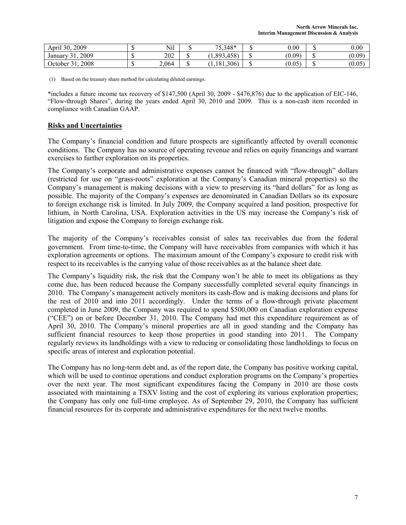| 2009<br>$\cdot$ .<br>30,<br>April     | - 12 | Nil   | 75.348*<br>ັ້                   |      | 0.00   | 0.00   |
|---------------------------------------|------|-------|---------------------------------|------|--------|--------|
| 2009<br>$\sim$ $\sim$<br>January<br>J |      | 202   | $458^\circ$<br>1,893,4<br>.1301 | - 12 | (0.09) | (0.09) |
| 2008<br>$\sim$<br>October<br>◡        |      | 2,064 | 306)<br>1,181,3                 | - 12 | (0.05) | (0.05) |

(1) Based on the treasury share method for calculating diluted earnings.

\*includes a future income tax recovery of \$147,500 (April 30, 2009 - \$476,876) due to the application of EIC-146, "Flow-through Shares", during the years ended April 30, 2010 and 2009. This is a non-cash item recorded in compliance with Canadian GAAP.

## Risks and Uncertainties

The Company's financial condition and future prospects are significantly affected by overall economic conditions. The Company has no source of operating revenue and relies on equity financings and warrant exercises to further exploration on its properties.

The Company's corporate and administrative expenses cannot be financed with "flow-through" dollars (restricted for use on "grass-roots" exploration at the Company's Canadian mineral properties) so the Company's management is making decisions with a view to preserving its "hard dollars" for as long as possible. The majority of the Company's expenses are denominated in Canadian Dollars so its exposure to foreign exchange risk is limited. In July 2009, the Company acquired a land position, prospective for lithium, in North Carolina, USA. Exploration activities in the US may increase the Company's risk of litigation and expose the Company to foreign exchange risk.

The majority of the Company's receivables consist of sales tax receivables due from the federal government. From time-to-time, the Company will have receivables from companies with which it has exploration agreements or options. The maximum amount of the Company's exposure to credit risk with respect to its receivables is the carrying value of those receivables as at the balance sheet date.

The Company's liquidity risk, the risk that the Company won't be able to meet its obligations as they come due, has been reduced because the Company successfully completed several equity financings in 2010. The Company's management actively monitors its cash-flow and is making decisions and plans for the rest of 2010 and into 2011 accordingly. Under the terms of a flow-through private placement completed in June 2009, the Company was required to spend \$500,000 on Canadian exploration expense ("CEE") on or before December 31, 2010. The Company had met this expenditure requirement as of April 30, 2010. The Company's mineral properties are all in good standing and the Company has sufficient financial resources to keep those properties in good standing into 2011. The Company regularly reviews its landholdings with a view to reducing or consolidating those landholdings to focus on specific areas of interest and exploration potential.

The Company has no long-term debt and, as of the report date, the Company has positive working capital, which will be used to continue operations and conduct exploration programs on the Company's properties over the next year. The most significant expenditures facing the Company in 2010 are those costs associated with maintaining a TSXV listing and the cost of exploring its various exploration properties; the Company has only one full-time employee. As of September 29, 2010, the Company has sufficient financial resources for its corporate and administrative expenditures for the next twelve months.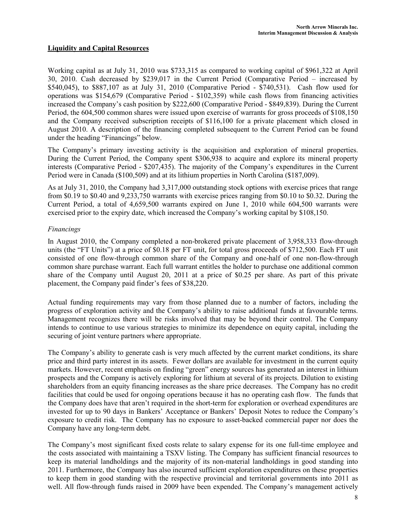# Liquidity and Capital Resources

Working capital as at July 31, 2010 was \$733,315 as compared to working capital of \$961,322 at April 30, 2010. Cash decreased by \$239,017 in the Current Period (Comparative Period – increased by \$540,045), to \$887,107 as at July 31, 2010 (Comparative Period - \$740,531). Cash flow used for operations was \$154,679 (Comparative Period - \$102,359) while cash flows from financing activities increased the Company's cash position by \$222,600 (Comparative Period - \$849,839). During the Current Period, the 604,500 common shares were issued upon exercise of warrants for gross proceeds of \$108,150 and the Company received subscription receipts of \$116,100 for a private placement which closed in August 2010. A description of the financing completed subsequent to the Current Period can be found under the heading "Financings" below.

The Company's primary investing activity is the acquisition and exploration of mineral properties. During the Current Period, the Company spent \$306,938 to acquire and explore its mineral property interests (Comparative Period - \$207,435). The majority of the Company's expenditures in the Current Period were in Canada (\$100,509) and at its lithium properties in North Carolina (\$187,009).

As at July 31, 2010, the Company had 3,317,000 outstanding stock options with exercise prices that range from \$0.19 to \$0.40 and 9,233,750 warrants with exercise prices ranging from \$0.10 to \$0.32. During the Current Period, a total of 4,659,500 warrants expired on June 1, 2010 while 604,500 warrants were exercised prior to the expiry date, which increased the Company's working capital by \$108,150.

### Financings

In August 2010, the Company completed a non-brokered private placement of 3,958,333 flow-through units (the "FT Units") at a price of \$0.18 per FT unit, for total gross proceeds of \$712,500. Each FT unit consisted of one flow-through common share of the Company and one-half of one non-flow-through common share purchase warrant. Each full warrant entitles the holder to purchase one additional common share of the Company until August 20, 2011 at a price of \$0.25 per share. As part of this private placement, the Company paid finder's fees of \$38,220.

Actual funding requirements may vary from those planned due to a number of factors, including the progress of exploration activity and the Company's ability to raise additional funds at favourable terms. Management recognizes there will be risks involved that may be beyond their control. The Company intends to continue to use various strategies to minimize its dependence on equity capital, including the securing of joint venture partners where appropriate.

The Company's ability to generate cash is very much affected by the current market conditions, its share price and third party interest in its assets. Fewer dollars are available for investment in the current equity markets. However, recent emphasis on finding "green" energy sources has generated an interest in lithium prospects and the Company is actively exploring for lithium at several of its projects. Dilution to existing shareholders from an equity financing increases as the share price decreases. The Company has no credit facilities that could be used for ongoing operations because it has no operating cash flow. The funds that the Company does have that aren't required in the short-term for exploration or overhead expenditures are invested for up to 90 days in Bankers' Acceptance or Bankers' Deposit Notes to reduce the Company's exposure to credit risk. The Company has no exposure to asset-backed commercial paper nor does the Company have any long-term debt.

The Company's most significant fixed costs relate to salary expense for its one full-time employee and the costs associated with maintaining a TSXV listing. The Company has sufficient financial resources to keep its material landholdings and the majority of its non-material landholdings in good standing into 2011. Furthermore, the Company has also incurred sufficient exploration expenditures on these properties to keep them in good standing with the respective provincial and territorial governments into 2011 as well. All flow-through funds raised in 2009 have been expended. The Company's management actively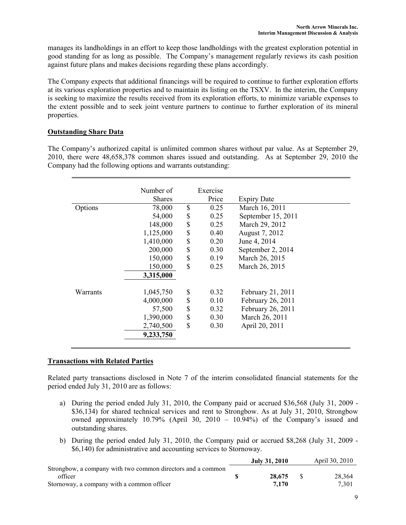manages its landholdings in an effort to keep those landholdings with the greatest exploration potential in good standing for as long as possible. The Company's management regularly reviews its cash position against future plans and makes decisions regarding these plans accordingly.

The Company expects that additional financings will be required to continue to further exploration efforts at its various exploration properties and to maintain its listing on the TSXV. In the interim, the Company is seeking to maximize the results received from its exploration efforts, to minimize variable expenses to the extent possible and to seek joint venture partners to continue to further exploration of its mineral properties.

## Outstanding Share Data

The Company's authorized capital is unlimited common shares without par value. As at September 29, 2010, there were 48,658,378 common shares issued and outstanding. As at September 29, 2010 the Company had the following options and warrants outstanding:

|          | Number of     | Exercise   |                    |  |
|----------|---------------|------------|--------------------|--|
|          | <b>Shares</b> | Price      | <b>Expiry Date</b> |  |
| Options  | 78,000        | \$<br>0.25 | March 16, 2011     |  |
|          | 54,000        | \$<br>0.25 | September 15, 2011 |  |
|          | 148,000       | \$<br>0.25 | March 29, 2012     |  |
|          | 1,125,000     | \$<br>0.40 | August 7, 2012     |  |
|          | 1,410,000     | \$<br>0.20 | June 4, 2014       |  |
|          | 200,000       | \$<br>0.30 | September 2, 2014  |  |
|          | 150,000       | \$<br>0.19 | March 26, 2015     |  |
|          | 150,000       | \$<br>0.25 | March 26, 2015     |  |
|          | 3,315,000     |            |                    |  |
| Warrants | 1,045,750     | \$<br>0.32 | February 21, 2011  |  |
|          | 4,000,000     | \$<br>0.10 | February 26, 2011  |  |
|          | 57,500        | \$<br>0.32 | February 26, 2011  |  |
|          | 1,390,000     | \$<br>0.30 | March 26, 2011     |  |
|          | 2,740,500     | \$<br>0.30 | April 20, 2011     |  |
|          | 9,233,750     |            |                    |  |

# Transactions with Related Parties

Related party transactions disclosed in Note 7 of the interim consolidated financial statements for the period ended July 31, 2010 are as follows:

- a) During the period ended July 31, 2010, the Company paid or accrued \$36,568 (July 31, 2009 \$36,134) for shared technical services and rent to Strongbow. As at July 31, 2010, Strongbow owned approximately 10.79% (April 30, 2010 – 10.94%) of the Company's issued and outstanding shares.
- b) During the period ended July 31, 2010, the Company paid or accrued \$8,268 (July 31, 2009 \$6,140) for administrative and accounting services to Stornoway.

|                                                             | July 31, 2010 | April 30, 2010 |
|-------------------------------------------------------------|---------------|----------------|
| Strongbow, a company with two common directors and a common |               |                |
| officer                                                     | 28,675        | 28,364         |
| Stornoway, a company with a common officer                  | 7.170         | 7.301          |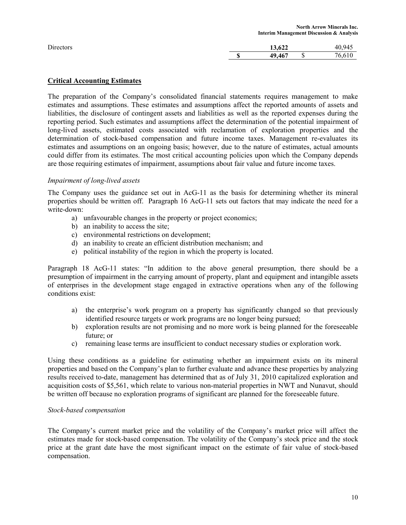|        | <b>North Arrow Minerals Inc.</b>                    |
|--------|-----------------------------------------------------|
| 13.622 | 40.945                                              |
| 49.467 | 76.610                                              |
|        | <b>Interim Management Discussion &amp; Analysis</b> |

## Critical Accounting Estimates

The preparation of the Company's consolidated financial statements requires management to make estimates and assumptions. These estimates and assumptions affect the reported amounts of assets and liabilities, the disclosure of contingent assets and liabilities as well as the reported expenses during the reporting period. Such estimates and assumptions affect the determination of the potential impairment of long-lived assets, estimated costs associated with reclamation of exploration properties and the determination of stock-based compensation and future income taxes. Management re-evaluates its estimates and assumptions on an ongoing basis; however, due to the nature of estimates, actual amounts could differ from its estimates. The most critical accounting policies upon which the Company depends are those requiring estimates of impairment, assumptions about fair value and future income taxes.

### Impairment of long-lived assets

The Company uses the guidance set out in AcG-11 as the basis for determining whether its mineral properties should be written off. Paragraph 16 AcG-11 sets out factors that may indicate the need for a write-down:

- a) unfavourable changes in the property or project economics;
- b) an inability to access the site;
- c) environmental restrictions on development;
- d) an inability to create an efficient distribution mechanism; and
- e) political instability of the region in which the property is located.

Paragraph 18 AcG-11 states: "In addition to the above general presumption, there should be a presumption of impairment in the carrying amount of property, plant and equipment and intangible assets of enterprises in the development stage engaged in extractive operations when any of the following conditions exist:

- a) the enterprise's work program on a property has significantly changed so that previously identified resource targets or work programs are no longer being pursued;
- b) exploration results are not promising and no more work is being planned for the foreseeable future; or
- c) remaining lease terms are insufficient to conduct necessary studies or exploration work.

Using these conditions as a guideline for estimating whether an impairment exists on its mineral properties and based on the Company's plan to further evaluate and advance these properties by analyzing results received to-date, management has determined that as of July 31, 2010 capitalized exploration and acquisition costs of \$5,561, which relate to various non-material properties in NWT and Nunavut, should be written off because no exploration programs of significant are planned for the foreseeable future.

### Stock-based compensation

The Company's current market price and the volatility of the Company's market price will affect the estimates made for stock-based compensation. The volatility of the Company's stock price and the stock price at the grant date have the most significant impact on the estimate of fair value of stock-based compensation.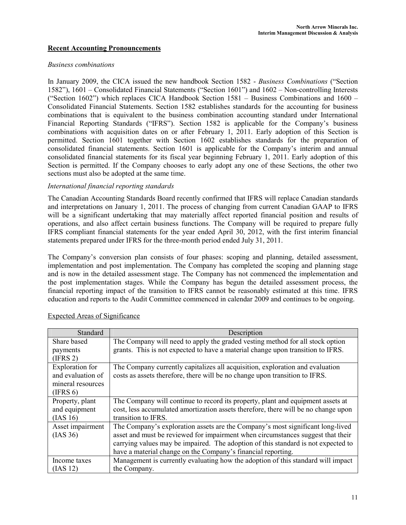## Recent Accounting Pronouncements

#### Business combinations

In January 2009, the CICA issued the new handbook Section 1582 - Business Combinations ("Section 1582"), 1601 – Consolidated Financial Statements ("Section 1601") and 1602 – Non-controlling Interests ("Section 1602") which replaces CICA Handbook Section 1581 – Business Combinations and 1600 – Consolidated Financial Statements. Section 1582 establishes standards for the accounting for business combinations that is equivalent to the business combination accounting standard under International Financial Reporting Standards ("IFRS"). Section 1582 is applicable for the Company's business combinations with acquisition dates on or after February 1, 2011. Early adoption of this Section is permitted. Section 1601 together with Section 1602 establishes standards for the preparation of consolidated financial statements. Section 1601 is applicable for the Company's interim and annual consolidated financial statements for its fiscal year beginning February 1, 2011. Early adoption of this Section is permitted. If the Company chooses to early adopt any one of these Sections, the other two sections must also be adopted at the same time.

#### International financial reporting standards

The Canadian Accounting Standards Board recently confirmed that IFRS will replace Canadian standards and interpretations on January 1, 2011. The process of changing from current Canadian GAAP to IFRS will be a significant undertaking that may materially affect reported financial position and results of operations, and also affect certain business functions. The Company will be required to prepare fully IFRS compliant financial statements for the year ended April 30, 2012, with the first interim financial statements prepared under IFRS for the three-month period ended July 31, 2011.

The Company's conversion plan consists of four phases: scoping and planning, detailed assessment, implementation and post implementation. The Company has completed the scoping and planning stage and is now in the detailed assessment stage. The Company has not commenced the implementation and the post implementation stages. While the Company has begun the detailed assessment process, the financial reporting impact of the transition to IFRS cannot be reasonably estimated at this time. IFRS education and reports to the Audit Committee commenced in calendar 2009 and continues to be ongoing.

| Standard                                                                     | Description                                                                                                                                                                                                                                                                                                            |
|------------------------------------------------------------------------------|------------------------------------------------------------------------------------------------------------------------------------------------------------------------------------------------------------------------------------------------------------------------------------------------------------------------|
| Share based                                                                  | The Company will need to apply the graded vesting method for all stock option                                                                                                                                                                                                                                          |
| payments<br>(IFRS 2)                                                         | grants. This is not expected to have a material change upon transition to IFRS.                                                                                                                                                                                                                                        |
| <b>Exploration</b> for<br>and evaluation of<br>mineral resources<br>(IFRS 6) | The Company currently capitalizes all acquisition, exploration and evaluation<br>costs as assets therefore, there will be no change upon transition to IFRS.                                                                                                                                                           |
| Property, plant<br>and equipment<br>(IAS 16)                                 | The Company will continue to record its property, plant and equipment assets at<br>cost, less accumulated amortization assets therefore, there will be no change upon<br>transition to IFRS.                                                                                                                           |
| Asset impairment<br>(IAS 36)                                                 | The Company's exploration assets are the Company's most significant long-lived<br>asset and must be reviewed for impairment when circumstances suggest that their<br>carrying values may be impaired. The adoption of this standard is not expected to<br>have a material change on the Company's financial reporting. |
| Income taxes<br>(IAS 12)                                                     | Management is currently evaluating how the adoption of this standard will impact<br>the Company.                                                                                                                                                                                                                       |

### Expected Areas of Significance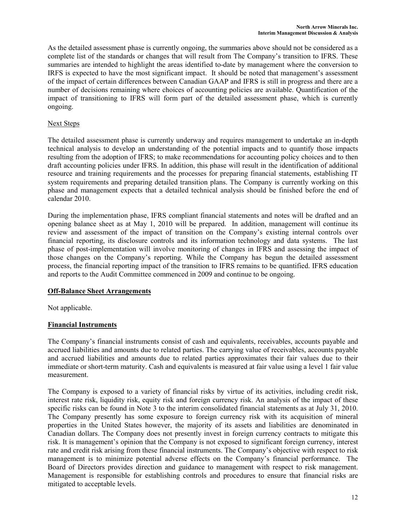As the detailed assessment phase is currently ongoing, the summaries above should not be considered as a complete list of the standards or changes that will result from The Company's transition to IFRS. These summaries are intended to highlight the areas identified to-date by management where the conversion to IRFS is expected to have the most significant impact. It should be noted that management's assessment of the impact of certain differences between Canadian GAAP and IFRS is still in progress and there are a number of decisions remaining where choices of accounting policies are available. Quantification of the impact of transitioning to IFRS will form part of the detailed assessment phase, which is currently ongoing.

# Next Steps

The detailed assessment phase is currently underway and requires management to undertake an in-depth technical analysis to develop an understanding of the potential impacts and to quantify those impacts resulting from the adoption of IFRS; to make recommendations for accounting policy choices and to then draft accounting policies under IFRS. In addition, this phase will result in the identification of additional resource and training requirements and the processes for preparing financial statements, establishing IT system requirements and preparing detailed transition plans. The Company is currently working on this phase and management expects that a detailed technical analysis should be finished before the end of calendar 2010.

During the implementation phase, IFRS compliant financial statements and notes will be drafted and an opening balance sheet as at May 1, 2010 will be prepared. In addition, management will continue its review and assessment of the impact of transition on the Company's existing internal controls over financial reporting, its disclosure controls and its information technology and data systems. The last phase of post-implementation will involve monitoring of changes in IFRS and assessing the impact of those changes on the Company's reporting. While the Company has begun the detailed assessment process, the financial reporting impact of the transition to IFRS remains to be quantified. IFRS education and reports to the Audit Committee commenced in 2009 and continue to be ongoing.

# Off-Balance Sheet Arrangements

Not applicable.

# Financial Instruments

The Company's financial instruments consist of cash and equivalents, receivables, accounts payable and accrued liabilities and amounts due to related parties. The carrying value of receivables, accounts payable and accrued liabilities and amounts due to related parties approximates their fair values due to their immediate or short-term maturity. Cash and equivalents is measured at fair value using a level 1 fair value measurement.

The Company is exposed to a variety of financial risks by virtue of its activities, including credit risk, interest rate risk, liquidity risk, equity risk and foreign currency risk. An analysis of the impact of these specific risks can be found in Note 3 to the interim consolidated financial statements as at July 31, 2010. The Company presently has some exposure to foreign currency risk with its acquisition of mineral properties in the United States however, the majority of its assets and liabilities are denominated in Canadian dollars. The Company does not presently invest in foreign currency contracts to mitigate this risk. It is management's opinion that the Company is not exposed to significant foreign currency, interest rate and credit risk arising from these financial instruments. The Company's objective with respect to risk management is to minimize potential adverse effects on the Company's financial performance. The Board of Directors provides direction and guidance to management with respect to risk management. Management is responsible for establishing controls and procedures to ensure that financial risks are mitigated to acceptable levels.